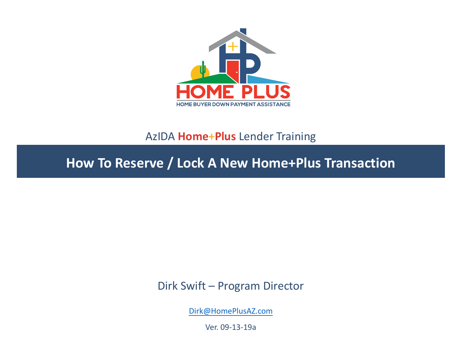

#### AzIDA **Home+Plus** Lender Training

**How To Reserve / Lock A New Home+Plus Transaction** 

Dirk Swift – Program Director

[Dirk@HomePlusAZ.com](mailto:Dirk@HomePlusAZ.com)

Ver. 09-13-19a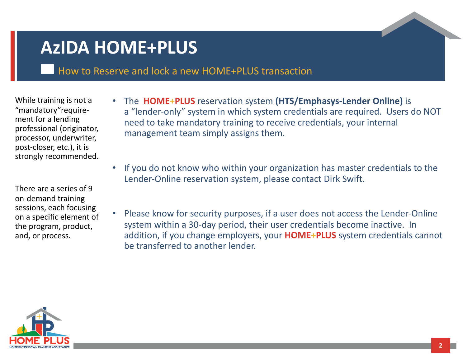# **AzIDA HOME+PLUS**

How to Reserve and lock a new HOME+PLUS transaction

While training is not a "mandatory"requirement for a lending professional (originator, processor, underwriter, post-closer, etc.), it is strongly recommended.

There are a series of 9 on-demand training sessions, each focusing on a specific element of the program, product, and, or process.

- The **HOME+PLUS** reservation system **(HTS/Emphasys-Lender Online)** is a "lender-only" system in which system credentials are required. Users do NOT need to take mandatory training to receive credentials, your internal management team simply assigns them.
- If you do not know who within your organization has master credentials to the Lender-Online reservation system, please contact Dirk Swift.
- Please know for security purposes, if a user does not access the Lender-Online system within a 30-day period, their user credentials become inactive. In addition, if you change employers, your **HOME+PLUS** system credentials cannot be transferred to another lender.

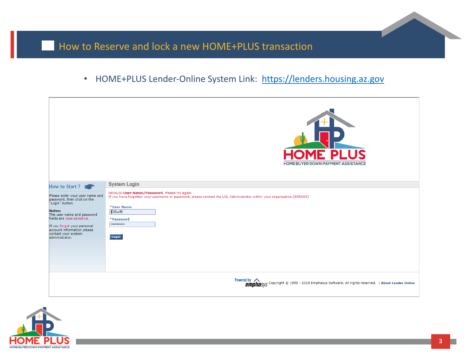#### • HOME+PLUS Lender-Online System Link: [https://lenders.housing.az.gov](https://lenders.housing.az.gov/)

|                                                                                                                                                                                                                                                                      | <b>HOME PLUS</b><br>HOME BUYER DOWN PAYMENT ASSISTANCE                                                                                                                                                                                               |
|----------------------------------------------------------------------------------------------------------------------------------------------------------------------------------------------------------------------------------------------------------------------|------------------------------------------------------------------------------------------------------------------------------------------------------------------------------------------------------------------------------------------------------|
| How to Start?                                                                                                                                                                                                                                                        | <b>System Login</b>                                                                                                                                                                                                                                  |
| Please enter your user name and<br>password, then click on the<br>"Login" button.<br><b>Notes:</b><br>The user name and password<br>fields are case sensitive.<br>If you forgot your personal<br>account information please<br>contact your system<br>administrator. | INVALID User Name/Password. Please try again.<br>If you have forgotten your username or password, please contact the LOL Administrator within your organization.[ERR003]<br>*User Name<br><b>DSwift</b><br>*Password<br><br>Login                    |
|                                                                                                                                                                                                                                                                      | Powered by <a> <b>CODET EXECUTE:</b><br/> Powered by <a> <b>CODET EXECUTE:</b><a> POWERED POWERS<br/>POWERED SOFTIME SPIN ENDINGLYS CODET FOR SOFTIME SOFTIME SPIN ENDINGLY CONTINUES<br/> THE SOFTIME SOFTIME SPIN ENDINGLY CONTINUES I</a></a></a> |

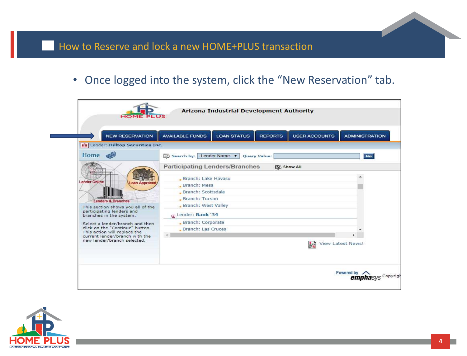• Once logged into the system, click the "New Reservation" tab.



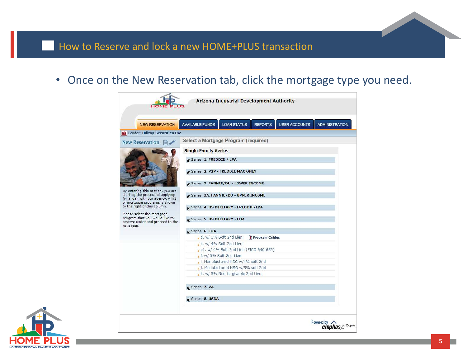• Once on the New Reservation tab, click the mortgage type you need.



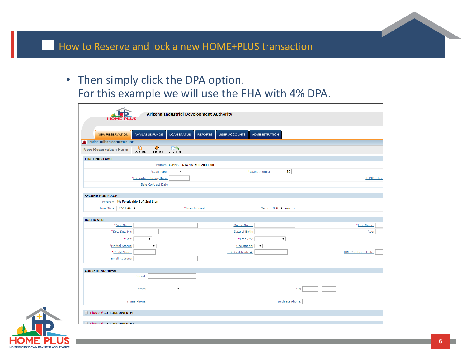• Then simply click the DPA option. For this example we will use the FHA with 4% DPA.

| <b>HOME</b>                                   | <b>Arizona Industrial Development Authority</b> |                                        |                            |      |                              |
|-----------------------------------------------|-------------------------------------------------|----------------------------------------|----------------------------|------|------------------------------|
|                                               |                                                 |                                        |                            |      |                              |
|                                               |                                                 |                                        |                            |      |                              |
| <b>NEW RESERVATION</b>                        | <b>AVAILABLE FUNDS</b><br><b>LOAN STATUS</b>    | <b>USER ACCOUNTS</b><br><b>REPORTS</b> | <b>ADMINISTRATION</b>      |      |                              |
| m Lender: Hilltop Securities Inc.             |                                                 |                                        |                            |      |                              |
| U<br><b>New Reservation Form</b><br>Show Help | $\bullet$<br>電り<br>Hide Help<br>Import 1003     |                                        |                            |      |                              |
| <b>FIRST MORTGAGE</b>                         |                                                 |                                        |                            |      |                              |
|                                               | Program: 6. FHA - e. w/ 4% Soft 2nd Lien        |                                        |                            |      |                              |
|                                               | *Loan Type:<br>$\pmb{\mathrm{v}}$               |                                        | <b>SO</b><br>*Loan Amount: |      |                              |
|                                               | *Estimated Closing Date:                        |                                        |                            |      | DO/DU Case                   |
|                                               | Sale Contract Date                              |                                        |                            |      |                              |
|                                               |                                                 |                                        |                            |      |                              |
| <b>SECOND MORTGAGE</b>                        |                                                 |                                        |                            |      |                              |
| Program: 4% Forgivable Soft 2nd Lien          |                                                 |                                        |                            |      |                              |
| Loan Type: 2nd Lien                           |                                                 | *Loan Amount:                          | Term: 036 v months         |      |                              |
| <b>BORROWER</b>                               |                                                 |                                        |                            |      |                              |
| *First Name:                                  |                                                 | Middle Name:                           |                            |      | *Last Name:                  |
| *Soc. Sec. No:                                |                                                 | Date of Birth:                         |                            |      | Age:                         |
| *Sex:                                         | $\pmb{\mathrm{v}}$                              | *Ethnicity:                            | $\blacktriangledown$       |      |                              |
| *Marital Status:                              | $\pmb{\mathrm{v}}$                              | Occupation:                            | $\pmb{\mathrm{v}}$         |      |                              |
| *Credit Score:                                |                                                 | HBE Certificate #:                     |                            |      | <b>HBE Certificate Date:</b> |
| <b>Email Address:</b>                         |                                                 |                                        |                            |      |                              |
|                                               |                                                 |                                        |                            |      |                              |
| <b>CURRENT ADDRESS</b>                        |                                                 |                                        |                            |      |                              |
| Street:                                       |                                                 |                                        |                            |      |                              |
|                                               |                                                 |                                        |                            |      |                              |
| State:                                        | $\pmb{\mathrm{v}}$                              |                                        |                            | Zip: |                              |
|                                               |                                                 |                                        |                            |      |                              |
| Home Phone:                                   |                                                 |                                        | <b>Business Phone:</b>     |      |                              |
|                                               |                                                 |                                        |                            |      |                              |
| Check if CO-BORROWER #1                       |                                                 |                                        |                            |      |                              |
| Check if CO BOBBOWED #3                       |                                                 |                                        |                            |      |                              |

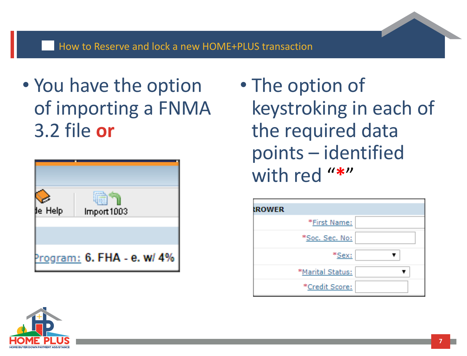• You have the option of importing a FNMA 3.2 file **or**



• The option of keystroking in each of the required data points – identified with red "**\***"



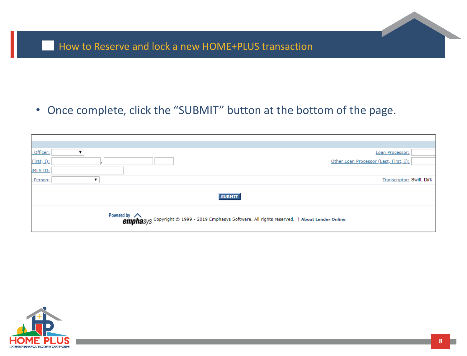### • Once complete, click the "SUBMIT" button at the bottom of the page.

| Officer:        | Loan Processor:                                                                                         |
|-----------------|---------------------------------------------------------------------------------------------------------|
| First, I):      | Other Loan Processor (Last, First, I):                                                                  |
| <b>IMLS ID:</b> |                                                                                                         |
| : Person:       | Transcriptor: Swift, Dirk                                                                               |
|                 | <b>SUBMIT</b>                                                                                           |
|                 | Powered by Andrew Copyright © 1999 - 2019 Emphasys Software. All rights reserved.   About Lender Online |

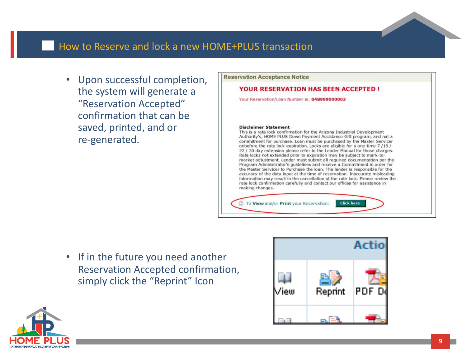• Upon successful completion, the system will generate a "Reservation Accepted" confirmation that can be saved, printed, and or re-generated.



• If in the future you need another Reservation Accepted confirmation, simply click the "Reprint" Icon